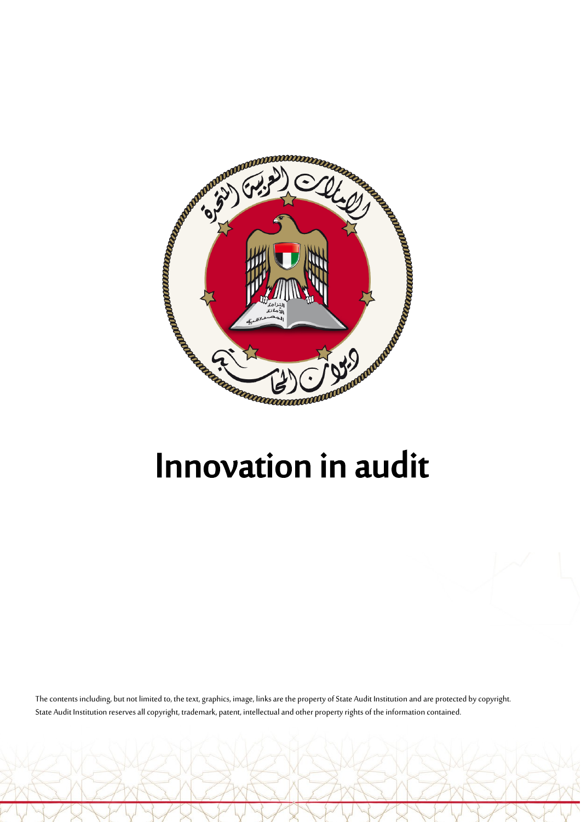

The contents including, but not limited to, the text, graphics, image, links are the property of State Audit Institution and are protected by copyright. State Audit Institution reserves all copyright, trademark, patent, intellectual and other property rights of the information contained.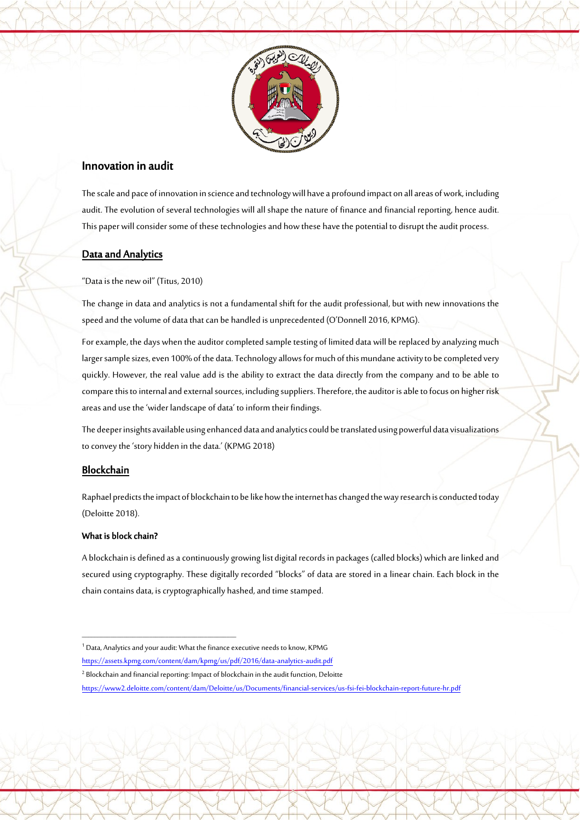

# Innovation in audit

The scale and pace of innovation in science and technology will have a profound impact on all areas of work, including audit. The evolution of several technologies will all shape the nature of finance and financial reporting, hence audit. This paper will consider some of these technologies and how these have the potential to disrupt the audit process.

## Data and Analytics

"Data is the new oil" (Titus, 2010)

The change in data and analytics is not a fundamental shift for the audit professional, but with new innovations the speed and the volume of data that can be handled is unprecedented (O'Donnell 2016, KPMG).

For example, the days when the auditor completed sample testing of limited data will be replaced by analyzing much larger sample sizes, even 100% of the data. Technology allows for much of this mundane activity to be completed very quickly. However, the real value add is the ability to extract the data directly from the company and to be able to compare this to internal and external sources, including suppliers. Therefore, the auditor is able to focus on higher risk areas and use the 'wider landscape of data' to inform their findings.

The deeper insights available using enhanced data and analytics could be translated using powerful data visualizations to convey the 'story hidden in the data.' (KPMG 2018)

## Blockchain

Raphael predicts the impact of blockchain to be like how the internet has changed the way research is conducted today (Deloitte 2018).

### What is block chain?

 $\overline{\mathcal{A}}$ 

A blockchain is defined as a continuously growing list digital records in packages (called blocks) which are linked and secured using cryptography. These digitally recorded "blocks" of data are stored in a linear chain. Each block in the chain contains data, is cryptographically hashed, and time stamped.

 $\overline{\phantom{a}}$  , and the set of the set of the set of the set of the set of the set of the set of the set of the set of the set of the set of the set of the set of the set of the set of the set of the set of the set of the s

<sup>1</sup> Data, Analytics and your audit: What the finance executive needs to know, KPMG

<https://assets.kpmg.com/content/dam/kpmg/us/pdf/2016/data-analytics-audit.pdf>

<sup>&</sup>lt;sup>2</sup> Blockchain and financial reporting: Impact of blockchain in the audit function, Deloitte

<https://www2.deloitte.com/content/dam/Deloitte/us/Documents/financial-services/us-fsi-fei-blockchain-report-future-hr.pdf>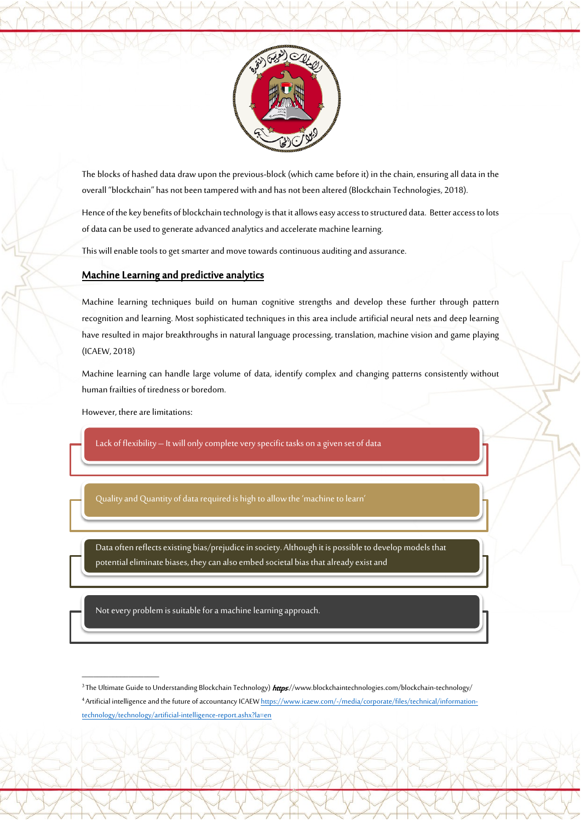

The blocks of hashed data draw upon the previous-block (which came before it) in the chain, ensuring all data in the overall "blockchain" has not been tampered with and has not been altered (Blockchain Technologies, 2018).

Hence of the key benefits of blockchain technology is that it allows easy access to structured data. Better access to lots of data can be used to generate advanced analytics and accelerate machine learning.

This will enable tools to get smarter and move towards continuous auditing and assurance.

#### Machine Learning and predictive analytics

Machine learning techniques build on human cognitive strengths and develop these further through pattern recognition and learning. Most sophisticated techniques in this area include artificial neural nets and deep learning have resulted in major breakthroughs in natural language processing, translation, machine vision and game playing (ICAEW, 2018)

Machine learning can handle large volume of data, identify complex and changing patterns consistently without human frailties of tiredness or boredom.

However, there are limitations:

 $\rightarrow$ 

 $\overline{\phantom{a}}$  , where  $\overline{\phantom{a}}$ 

Lack of flexibility – It will only complete very specific tasks on a given set of data

Quality and Quantity of data required is high to allow the 'machine to learn'

Data often reflects existing bias/prejudice in society. Although it is possible to develop models that potential eliminate biases, they can also embed societal bias that already exist and

Not every problem is suitable for a machine learning approach.

<sup>3</sup> The Ultimate Guide to Understanding Blockchain Technology) https://www.blockchaintechnologies.com/blockchain-technology/ 4 Artificial intelligence and the future of accountancy ICAE[W https://www.icaew.com/-/media/corporate/files/technical/information](https://www.icaew.com/-/media/corporate/files/technical/information-technology/technology/artificial-intelligence-report.ashx?la=en)[technology/technology/artificial-intelligence-report.ashx?la=en](https://www.icaew.com/-/media/corporate/files/technical/information-technology/technology/artificial-intelligence-report.ashx?la=en)